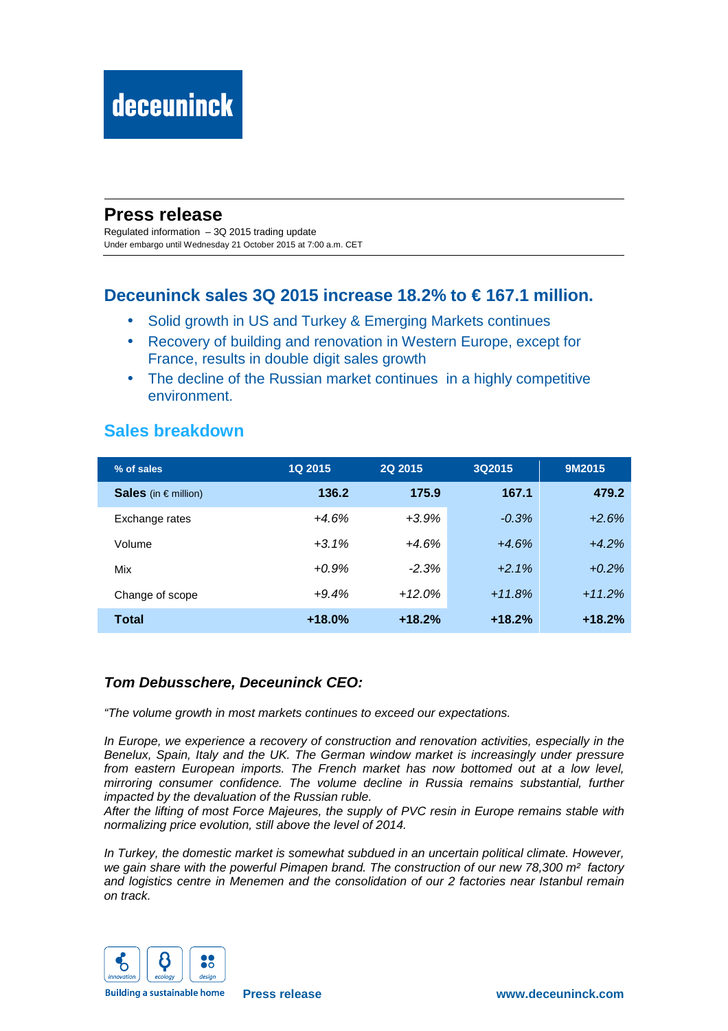# **Press release**

Regulated information – 3Q 2015 trading update Under embargo until Wednesday 21 October 2015 at 7:00 a.m. CET

## **Deceuninck sales 3Q 2015 increase 18.2% to € 167.1 million.**

- Solid growth in US and Turkey & Emerging Markets continues
- Recovery of building and renovation in Western Europe, except for France, results in double digit sales growth
- The decline of the Russian market continues in a highly competitive environment.

## **Sales breakdown**

| % of sales               | <b>1Q 2015</b> | 2Q 2015  | 3Q2015   | 9M2015   |  |
|--------------------------|----------------|----------|----------|----------|--|
| Sales (in $\in$ million) | 136.2          | 175.9    | 167.1    | 479.2    |  |
| Exchange rates           | $+4.6%$        | $+3.9%$  | $-0.3%$  | $+2.6%$  |  |
| Volume                   | $+3.1\%$       | $+4.6%$  | $+4.6%$  | $+4.2%$  |  |
| Mix                      | $+0.9%$        | $-2.3%$  | $+2.1%$  | $+0.2%$  |  |
| Change of scope          | $+9.4%$        | $+12.0%$ | $+11.8%$ | $+11.2%$ |  |
| <b>Total</b>             | $+18.0%$       | $+18.2%$ | $+18.2%$ | $+18.2%$ |  |

## **Tom Debusschere, Deceuninck CEO:**

"The volume growth in most markets continues to exceed our expectations.

In Europe, we experience a recovery of construction and renovation activities, especially in the Benelux, Spain, Italy and the UK. The German window market is increasingly under pressure from eastern European imports. The French market has now bottomed out at a low level, mirroring consumer confidence. The volume decline in Russia remains substantial, further impacted by the devaluation of the Russian ruble.

After the lifting of most Force Majeures, the supply of PVC resin in Europe remains stable with normalizing price evolution, still above the level of 2014.

In Turkey, the domestic market is somewhat subdued in an uncertain political climate. However, we gain share with the powerful Pimapen brand. The construction of our new 78,300 m<sup>2</sup> factory and logistics centre in Menemen and the consolidation of our 2 factories near Istanbul remain on track.



**Building a sustainable home**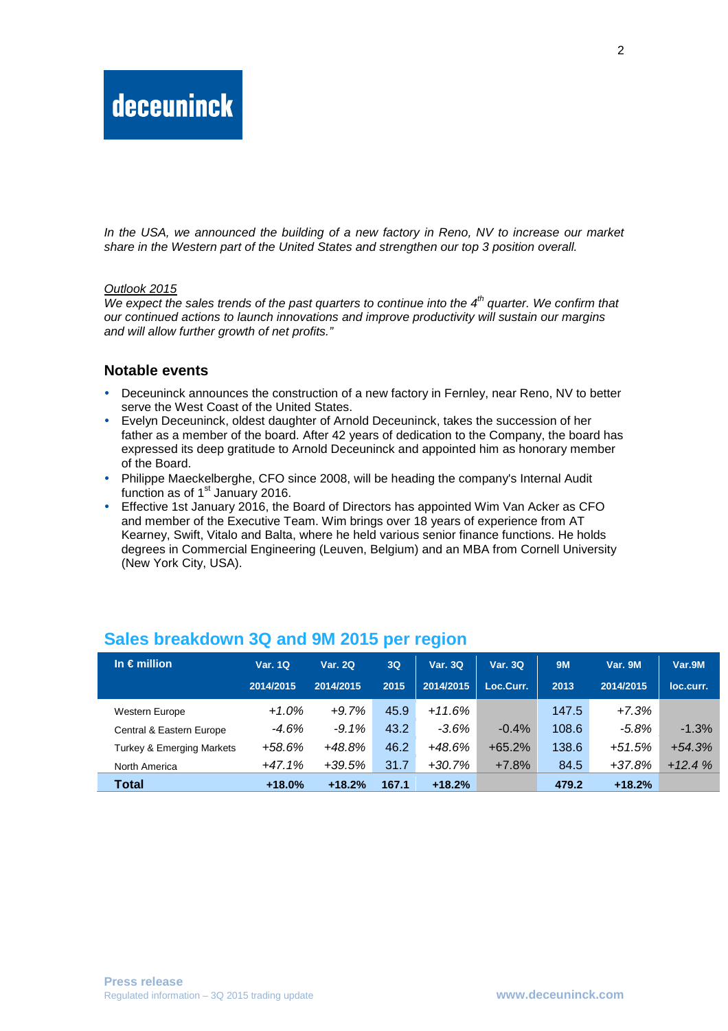In the USA, we announced the building of a new factory in Reno, NV to increase our market share in the Western part of the United States and strengthen our top 3 position overall.

#### Outlook 2015

We expect the sales trends of the past quarters to continue into the  $4<sup>th</sup>$  quarter. We confirm that our continued actions to launch innovations and improve productivity will sustain our margins and will allow further growth of net profits."

#### **Notable events**

- Deceuninck announces the construction of a new factory in Fernley, near Reno, NV to better serve the West Coast of the United States.
- Evelyn Deceuninck, oldest daughter of Arnold Deceuninck, takes the succession of her father as a member of the board. After 42 years of dedication to the Company, the board has expressed its deep gratitude to Arnold Deceuninck and appointed him as honorary member of the Board.
- Philippe Maeckelberghe, CFO since 2008, will be heading the company's Internal Audit function as of  $1<sup>st</sup>$  January 2016.
- Effective 1st January 2016, the Board of Directors has appointed Wim Van Acker as CFO and member of the Executive Team. Wim brings over 18 years of experience from AT Kearney, Swift, Vitalo and Balta, where he held various senior finance functions. He holds degrees in Commercial Engineering (Leuven, Belgium) and an MBA from Cornell University (New York City, USA).

| In $\epsilon$ million                | <b>Var. 1Q</b> | <b>Var. 2Q</b> | 3Q    | Var. 3Q   | <b>Var. 3Q</b> | <b>9M</b> | Var. 9M   | Var.9M    |
|--------------------------------------|----------------|----------------|-------|-----------|----------------|-----------|-----------|-----------|
|                                      | 2014/2015      | 2014/2015      | 2015  | 2014/2015 | Loc.Curr.      | 2013      | 2014/2015 | loc.curr. |
| <b>Western Europe</b>                | $+1.0%$        | $+9.7%$        | 45.9  | $+11.6%$  |                | 147.5     | $+7.3%$   |           |
| Central & Eastern Europe             | $-4.6%$        | $-9.1\%$       | 43.2  | $-3.6\%$  | $-0.4\%$       | 108.6     | -5.8%     | $-1.3%$   |
| <b>Turkey &amp; Emerging Markets</b> | $+58.6%$       | $+48.8\%$      | 46.2  | $+48.6%$  | $+65.2%$       | 138.6     | $+51.5%$  | $+54.3%$  |
| North America                        | $+47.1%$       | $+39.5%$       | 31.7  | +30.7%    | $+7.8%$        | 84.5      | $+37.8%$  | $+12.4%$  |
| Total                                | $+18.0%$       | $+18.2%$       | 167.1 | $+18.2%$  |                | 479.2     | $+18.2%$  |           |

## **Sales breakdown 3Q and 9M 2015 per region**

2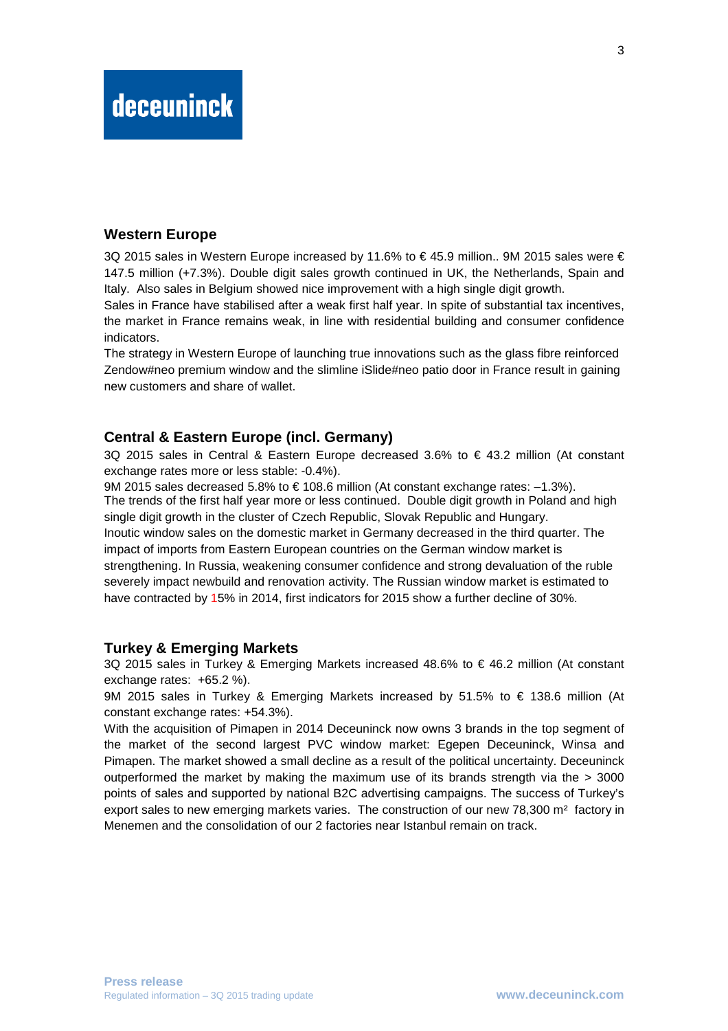# **deceuninck**

### **Western Europe**

3Q 2015 sales in Western Europe increased by 11.6% to € 45.9 million.. 9M 2015 sales were € 147.5 million (+7.3%). Double digit sales growth continued in UK, the Netherlands, Spain and Italy. Also sales in Belgium showed nice improvement with a high single digit growth.

Sales in France have stabilised after a weak first half year. In spite of substantial tax incentives, the market in France remains weak, in line with residential building and consumer confidence indicators.

The strategy in Western Europe of launching true innovations such as the glass fibre reinforced Zendow#neo premium window and the slimline iSlide#neo patio door in France result in gaining new customers and share of wallet.

### **Central & Eastern Europe (incl. Germany)**

3Q 2015 sales in Central & Eastern Europe decreased 3.6% to € 43.2 million (At constant exchange rates more or less stable: -0.4%).

9M 2015 sales decreased 5.8% to  $\in$  108.6 million (At constant exchange rates: -1.3%). The trends of the first half year more or less continued. Double digit growth in Poland and high single digit growth in the cluster of Czech Republic, Slovak Republic and Hungary. Inoutic window sales on the domestic market in Germany decreased in the third quarter. The impact of imports from Eastern European countries on the German window market is strengthening. In Russia, weakening consumer confidence and strong devaluation of the ruble severely impact newbuild and renovation activity. The Russian window market is estimated to have contracted by 15% in 2014, first indicators for 2015 show a further decline of 30%.

#### **Turkey & Emerging Markets**

3Q 2015 sales in Turkey & Emerging Markets increased 48.6% to € 46.2 million (At constant exchange rates: +65.2 %).

9M 2015 sales in Turkey & Emerging Markets increased by 51.5% to € 138.6 million (At constant exchange rates: +54.3%).

With the acquisition of Pimapen in 2014 Deceuninck now owns 3 brands in the top segment of the market of the second largest PVC window market: Egepen Deceuninck, Winsa and Pimapen. The market showed a small decline as a result of the political uncertainty. Deceuninck outperformed the market by making the maximum use of its brands strength via the  $> 3000$ points of sales and supported by national B2C advertising campaigns. The success of Turkey's export sales to new emerging markets varies. The construction of our new 78,300 m<sup>2</sup> factory in Menemen and the consolidation of our 2 factories near Istanbul remain on track.